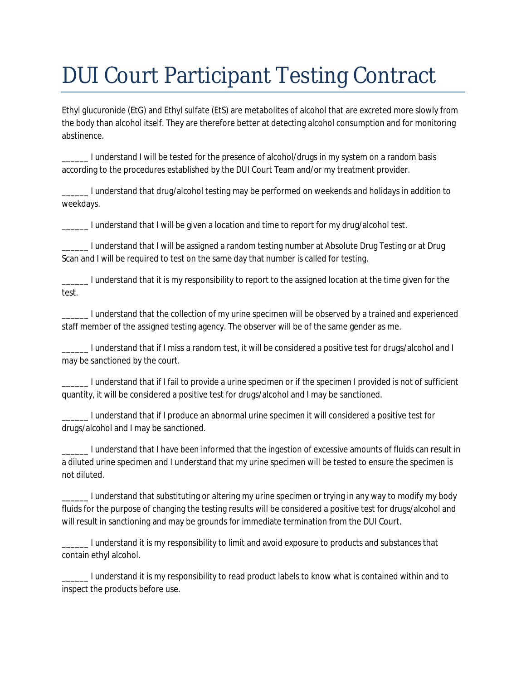## DUI Court Participant Testing Contract

Ethyl glucuronide (EtG) and Ethyl sulfate (EtS) are metabolites of alcohol that are excreted more slowly from the body than alcohol itself. They are therefore better at detecting alcohol consumption and for monitoring abstinence.

\_\_\_\_\_\_ I understand I will be tested for the presence of alcohol/drugs in my system on a random basis according to the procedures established by the DUI Court Team and/or my treatment provider.

\_\_\_\_\_\_ I understand that drug/alcohol testing may be performed on weekends and holidays in addition to weekdays.

\_\_\_\_\_\_ I understand that I will be given a location and time to report for my drug/alcohol test.

\_\_\_\_\_\_ I understand that I will be assigned a random testing number at Absolute Drug Testing or at Drug Scan and I will be required to test on the same day that number is called for testing.

\_\_\_\_\_\_ I understand that it is my responsibility to report to the assigned location at the time given for the test.

\_\_\_\_\_\_ I understand that the collection of my urine specimen will be observed by a trained and experienced staff member of the assigned testing agency. The observer will be of the same gender as me.

\_\_\_\_\_\_ I understand that if I miss a random test, it will be considered a positive test for drugs/alcohol and I may be sanctioned by the court.

\_\_\_\_\_\_ I understand that if I fail to provide a urine specimen or if the specimen I provided is not of sufficient quantity, it will be considered a positive test for drugs/alcohol and I may be sanctioned.

\_\_\_\_\_\_ I understand that if I produce an abnormal urine specimen it will considered a positive test for drugs/alcohol and I may be sanctioned.

\_\_\_\_\_\_ I understand that I have been informed that the ingestion of excessive amounts of fluids can result in a diluted urine specimen and I understand that my urine specimen will be tested to ensure the specimen is not diluted.

\_\_\_\_\_\_ I understand that substituting or altering my urine specimen or trying in any way to modify my body fluids for the purpose of changing the testing results will be considered a positive test for drugs/alcohol and will result in sanctioning and may be grounds for immediate termination from the DUI Court.

\_\_\_\_\_\_ I understand it is my responsibility to limit and avoid exposure to products and substances that contain ethyl alcohol.

\_\_\_\_\_\_ I understand it is my responsibility to read product labels to know what is contained within and to inspect the products before use.